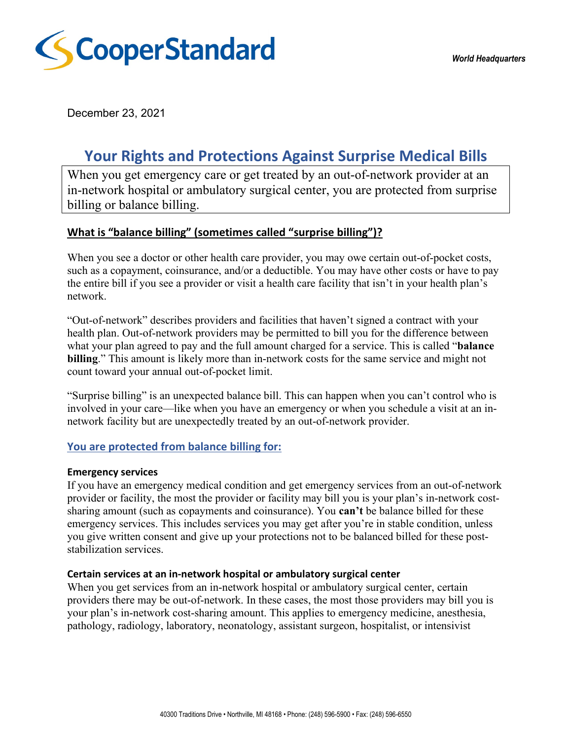

December 23, 2021

# **Your Rights and Protections Against Surprise Medical Bills**

When you get emergency care or get treated by an out-of-network provider at an in-network hospital or ambulatory surgical center, you are protected from surprise billing or balance billing.

## **What is "balance billing" (sometimes called "surprise billing")?**

When you see a doctor or other health care provider, you may owe certain out-of-pocket costs, such as a copayment, coinsurance, and/or a deductible. You may have other costs or have to pay the entire bill if you see a provider or visit a health care facility that isn't in your health plan's network.

"Out-of-network" describes providers and facilities that haven't signed a contract with your health plan. Out-of-network providers may be permitted to bill you for the difference between what your plan agreed to pay and the full amount charged for a service. This is called "**balance billing**." This amount is likely more than in-network costs for the same service and might not count toward your annual out-of-pocket limit.

"Surprise billing" is an unexpected balance bill. This can happen when you can't control who is involved in your care—like when you have an emergency or when you schedule a visit at an innetwork facility but are unexpectedly treated by an out-of-network provider.

### **You are protected from balance billing for:**

#### **Emergency services**

If you have an emergency medical condition and get emergency services from an out-of-network provider or facility, the most the provider or facility may bill you is your plan's in-network costsharing amount (such as copayments and coinsurance). You **can't** be balance billed for these emergency services. This includes services you may get after you're in stable condition, unless you give written consent and give up your protections not to be balanced billed for these poststabilization services.

### **Certain services at an in-network hospital or ambulatory surgical center**

When you get services from an in-network hospital or ambulatory surgical center, certain providers there may be out-of-network. In these cases, the most those providers may bill you is your plan's in-network cost-sharing amount. This applies to emergency medicine, anesthesia, pathology, radiology, laboratory, neonatology, assistant surgeon, hospitalist, or intensivist